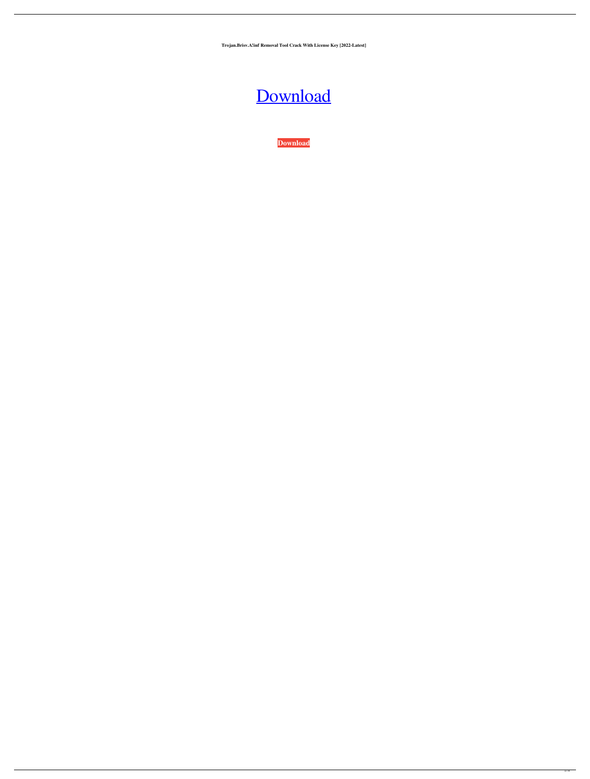**Trojan.Brisv.A!inf Removal Tool Crack With License Key [2022-Latest]**

## [Download](http://evacdir.com/exect/editorials/VHJvamFuLkJyaXN2LkEhaW5mIFJlbW92YWwgVG9vbAVHJ/excellent/gratitude/ZG93bmxvYWR8WFE4TkdGaU5IeDhNVFkxTkRVeU1qRXhNSHg4TWpVM05IeDhLRTBwSUhKbFlXUXRZbXh2WnlCYlJtRnpkQ0JIUlU1ZA/?tetro&groupie=tanna)

**[Download](http://evacdir.com/exect/editorials/VHJvamFuLkJyaXN2LkEhaW5mIFJlbW92YWwgVG9vbAVHJ/excellent/gratitude/ZG93bmxvYWR8WFE4TkdGaU5IeDhNVFkxTkRVeU1qRXhNSHg4TWpVM05IeDhLRTBwSUhKbFlXUXRZbXh2WnlCYlJtRnpkQ0JIUlU1ZA/?tetro&groupie=tanna)**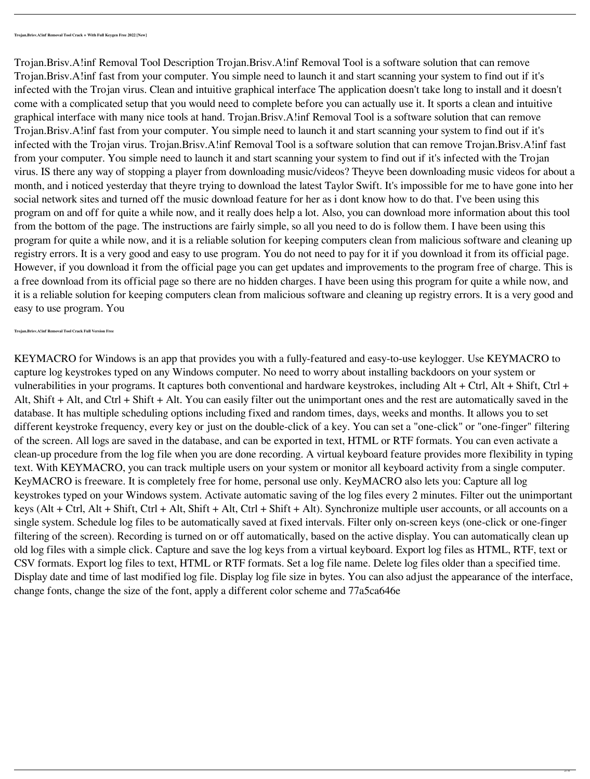Trojan.Brisv.A!inf Removal Tool Description Trojan.Brisv.A!inf Removal Tool is a software solution that can remove Trojan.Brisv.A!inf fast from your computer. You simple need to launch it and start scanning your system to find out if it's infected with the Trojan virus. Clean and intuitive graphical interface The application doesn't take long to install and it doesn't come with a complicated setup that you would need to complete before you can actually use it. It sports a clean and intuitive graphical interface with many nice tools at hand. Trojan.Brisv.A!inf Removal Tool is a software solution that can remove Trojan.Brisv.A!inf fast from your computer. You simple need to launch it and start scanning your system to find out if it's infected with the Trojan virus. Trojan.Brisv.A!inf Removal Tool is a software solution that can remove Trojan.Brisv.A!inf fast from your computer. You simple need to launch it and start scanning your system to find out if it's infected with the Trojan virus. IS there any way of stopping a player from downloading music/videos? Theyve been downloading music videos for about a month, and i noticed yesterday that theyre trying to download the latest Taylor Swift. It's impossible for me to have gone into her social network sites and turned off the music download feature for her as i dont know how to do that. I've been using this program on and off for quite a while now, and it really does help a lot. Also, you can download more information about this tool from the bottom of the page. The instructions are fairly simple, so all you need to do is follow them. I have been using this program for quite a while now, and it is a reliable solution for keeping computers clean from malicious software and cleaning up registry errors. It is a very good and easy to use program. You do not need to pay for it if you download it from its official page. However, if you download it from the official page you can get updates and improvements to the program free of charge. This is a free download from its official page so there are no hidden charges. I have been using this program for quite a while now, and it is a reliable solution for keeping computers clean from malicious software and cleaning up registry errors. It is a very good and

## easy to use program. You

**Trojan.Brisv.A!inf Removal Tool Crack Full Version Free**

KEYMACRO for Windows is an app that provides you with a fully-featured and easy-to-use keylogger. Use KEYMACRO to capture log keystrokes typed on any Windows computer. No need to worry about installing backdoors on your system or vulnerabilities in your programs. It captures both conventional and hardware keystrokes, including Alt + Ctrl, Alt + Shift, Ctrl + Alt, Shift + Alt, and Ctrl + Shift + Alt. You can easily filter out the unimportant ones and the rest are automatically saved in the database. It has multiple scheduling options including fixed and random times, days, weeks and months. It allows you to set different keystroke frequency, every key or just on the double-click of a key. You can set a "one-click" or "one-finger" filtering of the screen. All logs are saved in the database, and can be exported in text, HTML or RTF formats. You can even activate a clean-up procedure from the log file when you are done recording. A virtual keyboard feature provides more flexibility in typing text. With KEYMACRO, you can track multiple users on your system or monitor all keyboard activity from a single computer. KeyMACRO is freeware. It is completely free for home, personal use only. KeyMACRO also lets you: Capture all log keystrokes typed on your Windows system. Activate automatic saving of the log files every 2 minutes. Filter out the unimportant keys (Alt + Ctrl, Alt + Shift, Ctrl + Alt, Shift + Alt, Ctrl + Shift + Alt). Synchronize multiple user accounts, or all accounts on a single system. Schedule log files to be automatically saved at fixed intervals. Filter only on-screen keys (one-click or one-finger filtering of the screen). Recording is turned on or off automatically, based on the active display. You can automatically clean up old log files with a simple click. Capture and save the log keys from a virtual keyboard. Export log files as HTML, RTF, text or CSV formats. Export log files to text, HTML or RTF formats. Set a log file name. Delete log files older than a specified time. Display date and time of last modified log file. Display log file size in bytes. You can also adjust the appearance of the interface, change fonts, change the size of the font, apply a different color scheme and 77a5ca646e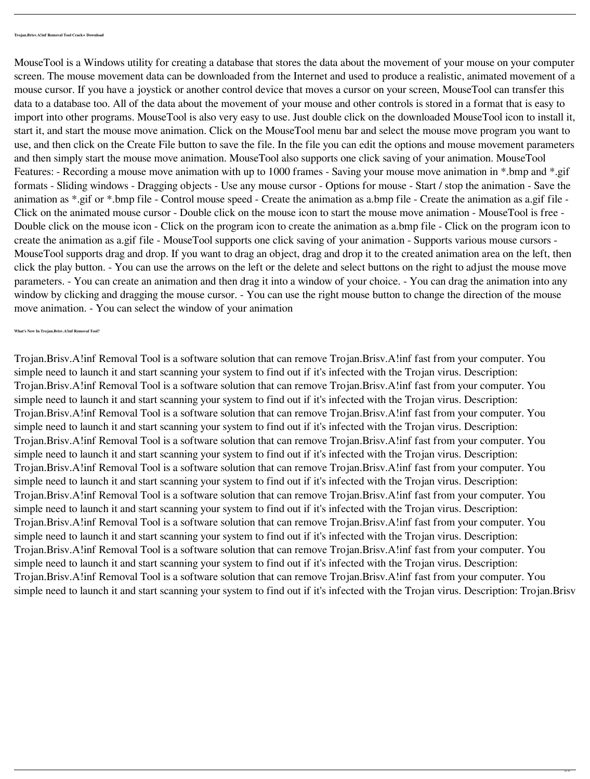MouseTool is a Windows utility for creating a database that stores the data about the movement of your mouse on your computer screen. The mouse movement data can be downloaded from the Internet and used to produce a realistic, animated movement of a mouse cursor. If you have a joystick or another control device that moves a cursor on your screen, MouseTool can transfer this data to a database too. All of the data about the movement of your mouse and other controls is stored in a format that is easy to import into other programs. MouseTool is also very easy to use. Just double click on the downloaded MouseTool icon to install it, start it, and start the mouse move animation. Click on the MouseTool menu bar and select the mouse move program you want to use, and then click on the Create File button to save the file. In the file you can edit the options and mouse movement parameters and then simply start the mouse move animation. MouseTool also supports one click saving of your animation. MouseTool Features: - Recording a mouse move animation with up to 1000 frames - Saving your mouse move animation in \*.bmp and \*.gif formats - Sliding windows - Dragging objects - Use any mouse cursor - Options for mouse - Start / stop the animation - Save the animation as \*.gif or \*.bmp file - Control mouse speed - Create the animation as a.bmp file - Create the animation as a.gif file - Click on the animated mouse cursor - Double click on the mouse icon to start the mouse move animation - MouseTool is free - Double click on the mouse icon - Click on the program icon to create the animation as a.bmp file - Click on the program icon to create the animation as a.gif file - MouseTool supports one click saving of your animation - Supports various mouse cursors - MouseTool supports drag and drop. If you want to drag an object, drag and drop it to the created animation area on the left, then click the play button. - You can use the arrows on the left or the delete and select buttons on the right to adjust the mouse move parameters. - You can create an animation and then drag it into a window of your choice. - You can drag the animation into any window by clicking and dragging the mouse cursor. - You can use the right mouse button to change the direction of the mouse move animation. - You can select the window of your animation

**What's New In Trojan.Brisv.A!inf Removal Tool?**

Trojan.Brisv.A!inf Removal Tool is a software solution that can remove Trojan.Brisv.A!inf fast from your computer. You simple need to launch it and start scanning your system to find out if it's infected with the Trojan virus. Description: Trojan.Brisv.A!inf Removal Tool is a software solution that can remove Trojan.Brisv.A!inf fast from your computer. You simple need to launch it and start scanning your system to find out if it's infected with the Trojan virus. Description: Trojan.Brisv.A!inf Removal Tool is a software solution that can remove Trojan.Brisv.A!inf fast from your computer. You simple need to launch it and start scanning your system to find out if it's infected with the Trojan virus. Description: Trojan.Brisv.A!inf Removal Tool is a software solution that can remove Trojan.Brisv.A!inf fast from your computer. You simple need to launch it and start scanning your system to find out if it's infected with the Trojan virus. Description: Trojan.Brisv.A!inf Removal Tool is a software solution that can remove Trojan.Brisv.A!inf fast from your computer. You simple need to launch it and start scanning your system to find out if it's infected with the Trojan virus. Description: Trojan.Brisv.A!inf Removal Tool is a software solution that can remove Trojan.Brisv.A!inf fast from your computer. You simple need to launch it and start scanning your system to find out if it's infected with the Trojan virus. Description: Trojan.Brisv.A!inf Removal Tool is a software solution that can remove Trojan.Brisv.A!inf fast from your computer. You simple need to launch it and start scanning your system to find out if it's infected with the Trojan virus. Description: Trojan.Brisv.A!inf Removal Tool is a software solution that can remove Trojan.Brisv.A!inf fast from your computer. You simple need to launch it and start scanning your system to find out if it's infected with the Trojan virus. Description: Trojan.Brisv.A!inf Removal Tool is a software solution that can remove Trojan.Brisv.A!inf fast from your computer. You simple need to launch it and start scanning your system to find out if it's infected with the Trojan virus. Description: Trojan.Brisv